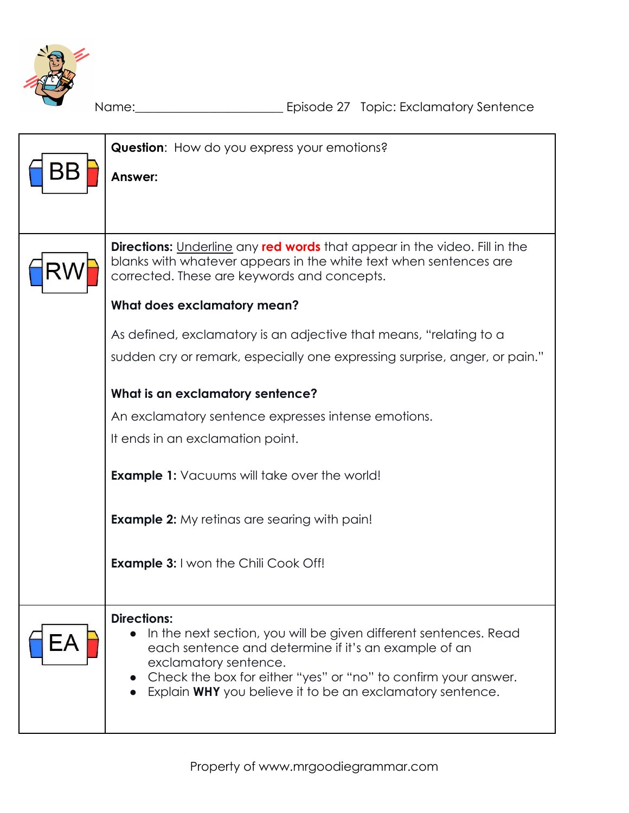

Name:\_\_\_\_\_\_\_\_\_\_\_\_\_\_\_\_\_\_\_\_\_\_\_\_ Episode 27 Topic: Exclamatory Sentence

| <b>Question:</b> How do you express your emotions?                                                                                                                                                                                                                                                     |  |  |  |
|--------------------------------------------------------------------------------------------------------------------------------------------------------------------------------------------------------------------------------------------------------------------------------------------------------|--|--|--|
| Answer:                                                                                                                                                                                                                                                                                                |  |  |  |
|                                                                                                                                                                                                                                                                                                        |  |  |  |
|                                                                                                                                                                                                                                                                                                        |  |  |  |
| <b>Directions:</b> Underline any <b>red words</b> that appear in the video. Fill in the<br>blanks with whatever appears in the white text when sentences are<br>corrected. These are keywords and concepts.                                                                                            |  |  |  |
| What does exclamatory mean?                                                                                                                                                                                                                                                                            |  |  |  |
| As defined, exclamatory is an adjective that means, "relating to a                                                                                                                                                                                                                                     |  |  |  |
| sudden cry or remark, especially one expressing surprise, anger, or pain."                                                                                                                                                                                                                             |  |  |  |
| What is an exclamatory sentence?                                                                                                                                                                                                                                                                       |  |  |  |
| An exclamatory sentence expresses intense emotions.                                                                                                                                                                                                                                                    |  |  |  |
| It ends in an exclamation point.                                                                                                                                                                                                                                                                       |  |  |  |
| <b>Example 1:</b> Vacuums will take over the world!                                                                                                                                                                                                                                                    |  |  |  |
| <b>Example 2:</b> My retinas are searing with pain!                                                                                                                                                                                                                                                    |  |  |  |
| <b>Example 3:</b> I won the Chili Cook Off!                                                                                                                                                                                                                                                            |  |  |  |
| <b>Directions:</b><br>In the next section, you will be given different sentences. Read<br>each sentence and determine if it's an example of an<br>exclamatory sentence.<br>Check the box for either "yes" or "no" to confirm your answer.<br>Explain WHY you believe it to be an exclamatory sentence. |  |  |  |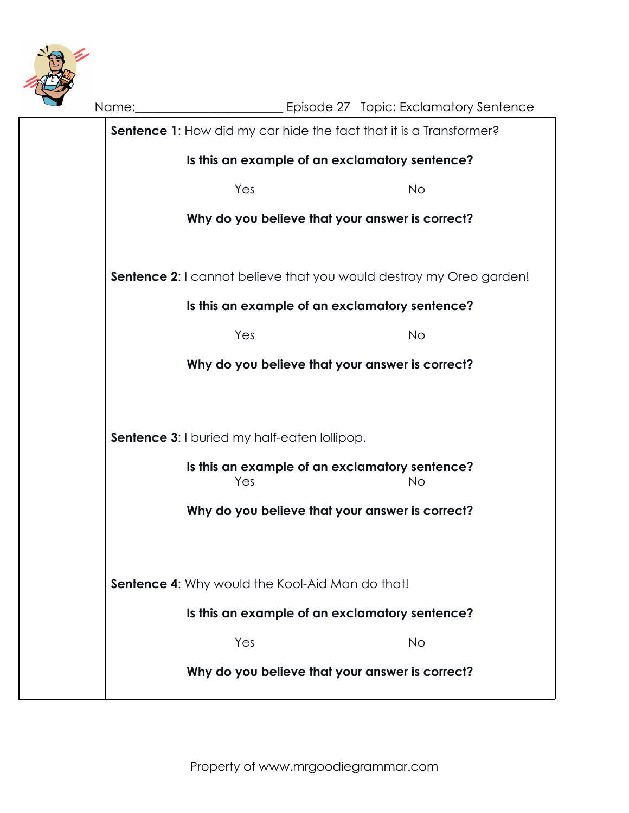

| Name: |                                                     | ________________________ Episode 27 Topic: Exclamatory Sentence            |  |  |  |  |
|-------|-----------------------------------------------------|----------------------------------------------------------------------------|--|--|--|--|
|       |                                                     | <b>Sentence 1:</b> How did my car hide the fact that it is a Transformer?  |  |  |  |  |
|       | Is this an example of an exclamatory sentence?      |                                                                            |  |  |  |  |
|       | Yes                                                 | <b>No</b>                                                                  |  |  |  |  |
|       | Why do you believe that your answer is correct?     |                                                                            |  |  |  |  |
|       |                                                     |                                                                            |  |  |  |  |
|       |                                                     | <b>Sentence 2:</b> I cannot believe that you would destroy my Oreo garden! |  |  |  |  |
|       | Is this an example of an exclamatory sentence?      |                                                                            |  |  |  |  |
|       | Yes                                                 | <b>No</b>                                                                  |  |  |  |  |
|       |                                                     | Why do you believe that your answer is correct?                            |  |  |  |  |
|       |                                                     |                                                                            |  |  |  |  |
|       | <b>Sentence 3:</b> I buried my half-eaten lollipop. |                                                                            |  |  |  |  |
|       |                                                     |                                                                            |  |  |  |  |
|       | Yes                                                 | Is this an example of an exclamatory sentence?<br><b>No</b>                |  |  |  |  |
|       |                                                     | Why do you believe that your answer is correct?                            |  |  |  |  |
|       |                                                     |                                                                            |  |  |  |  |
|       |                                                     |                                                                            |  |  |  |  |
|       | Sentence 4: Why would the Kool-Aid Man do that!     |                                                                            |  |  |  |  |
|       | Is this an example of an exclamatory sentence?      |                                                                            |  |  |  |  |
|       | Yes                                                 | <b>No</b>                                                                  |  |  |  |  |
|       |                                                     | Why do you believe that your answer is correct?                            |  |  |  |  |
|       |                                                     |                                                                            |  |  |  |  |